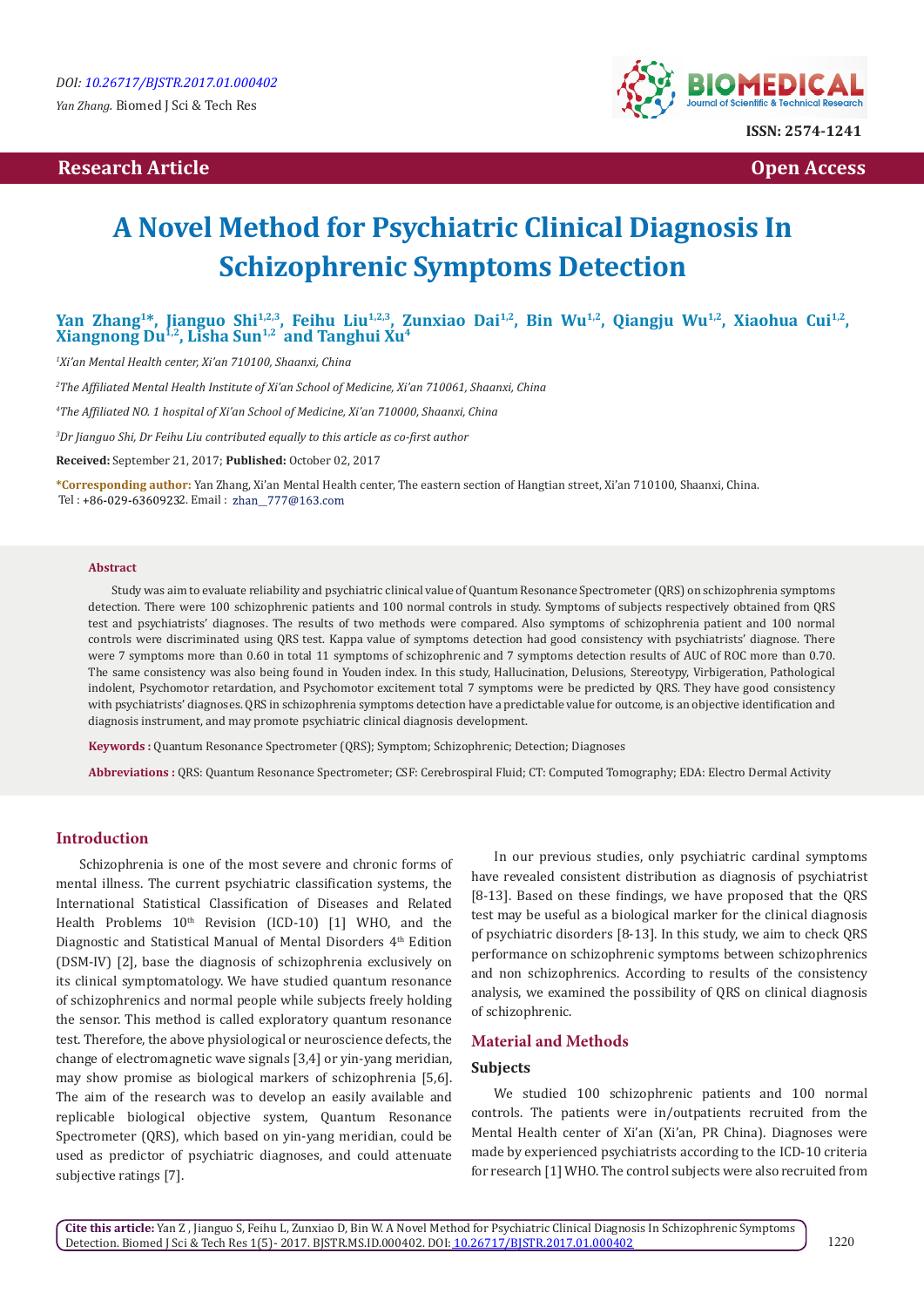# **Research Article Open Access Contract Article Open Access Open Access**



# **A Novel Method for Psychiatric Clinical Diagnosis In Schizophrenic Symptoms Detection**

Yan Zhang<sup>1\*</sup>, Jianguo Shi<sup>1,2,3</sup>, Feihu Liu<sup>1,2,3</sup>, Zunxiao Dai<sup>1,2</sup>, Bin Wu<sup>1,2</sup>, Qiangju Wu<sup>1,2</sup>, Xiaohua Cui<sup>1,2</sup>, Xiangnong Du<sup>1,2</sup>, Lisha Sun<sup>1,2</sup> and Tanghui Xu<sup>4</sup>

*1 Xi'an Mental Health center, Xi'an 710100, Shaanxi, China*

*2 The Affiliated Mental Health Institute of Xi'an School of Medicine, Xi'an 710061, Shaanxi, China*

*4 The Affiliated NO. 1 hospital of Xi'an School of Medicine, Xi'an 710000, Shaanxi, China*

*3 Dr Jianguo Shi, Dr Feihu Liu contributed equally to this article as co-first author*

**Received:** September 21, 2017; **Published:** October 02, 2017

**\*Corresponding author:** Yan Zhang, Xi'an Mental Health center, The eastern section of Hangtian street, Xi'an 710100, Shaanxi, China. Tel: +86-029-63609232. Email: zhan\_777@163.com

#### **Abstract**

Study was aim to evaluate reliability and psychiatric clinical value of Quantum Resonance Spectrometer (QRS) on schizophrenia symptoms detection. There were 100 schizophrenic patients and 100 normal controls in study. Symptoms of subjects respectively obtained from QRS test and psychiatrists' diagnoses. The results of two methods were compared. Also symptoms of schizophrenia patient and 100 normal controls were discriminated using QRS test. Kappa value of symptoms detection had good consistency with psychiatrists' diagnose. There were 7 symptoms more than 0.60 in total 11 symptoms of schizophrenic and 7 symptoms detection results of AUC of ROC more than 0.70. The same consistency was also being found in Youden index. In this study, Hallucination, Delusions, Stereotypy, Virbigeration, Pathological indolent, Psychomotor retardation, and Psychomotor excitement total 7 symptoms were be predicted by QRS. They have good consistency with psychiatrists' diagnoses. QRS in schizophrenia symptoms detection have a predictable value for outcome, is an objective identification and diagnosis instrument, and may promote psychiatric clinical diagnosis development.

**Keywords :** Quantum Resonance Spectrometer (QRS); Symptom; Schizophrenic; Detection; Diagnoses

**Abbreviations :** QRS: Quantum Resonance Spectrometer; CSF: Cerebrospiral Fluid; CT: Computed Tomography; EDA: Electro Dermal Activity

## **Introduction**

Schizophrenia is one of the most severe and chronic forms of mental illness. The current psychiatric classification systems, the International Statistical Classification of Diseases and Related Health Problems  $10<sup>th</sup>$  Revision (ICD-10) [1] WHO, and the Diagnostic and Statistical Manual of Mental Disorders 4<sup>th</sup> Edition (DSM-IV) [2], base the diagnosis of schizophrenia exclusively on its clinical symptomatology. We have studied quantum resonance of schizophrenics and normal people while subjects freely holding the sensor. This method is called exploratory quantum resonance test. Therefore, the above physiological or neuroscience defects, the change of electromagnetic wave signals [3,4] or yin-yang meridian, may show promise as biological markers of schizophrenia [5,6]. The aim of the research was to develop an easily available and replicable biological objective system, Quantum Resonance Spectrometer (QRS), which based on yin-yang meridian, could be used as predictor of psychiatric diagnoses, and could attenuate subjective ratings [7].

In our previous studies, only psychiatric cardinal symptoms have revealed consistent distribution as diagnosis of psychiatrist [8-13]. Based on these findings, we have proposed that the QRS test may be useful as a biological marker for the clinical diagnosis of psychiatric disorders [8-13]. In this study, we aim to check QRS performance on schizophrenic symptoms between schizophrenics and non schizophrenics. According to results of the consistency analysis, we examined the possibility of QRS on clinical diagnosis of schizophrenic.

## **Material and Methods**

#### **Subjects**

We studied 100 schizophrenic patients and 100 normal controls. The patients were in/outpatients recruited from the Mental Health center of Xi'an (Xi'an, PR China). Diagnoses were made by experienced psychiatrists according to the ICD-10 criteria for research [1] WHO. The control subjects were also recruited from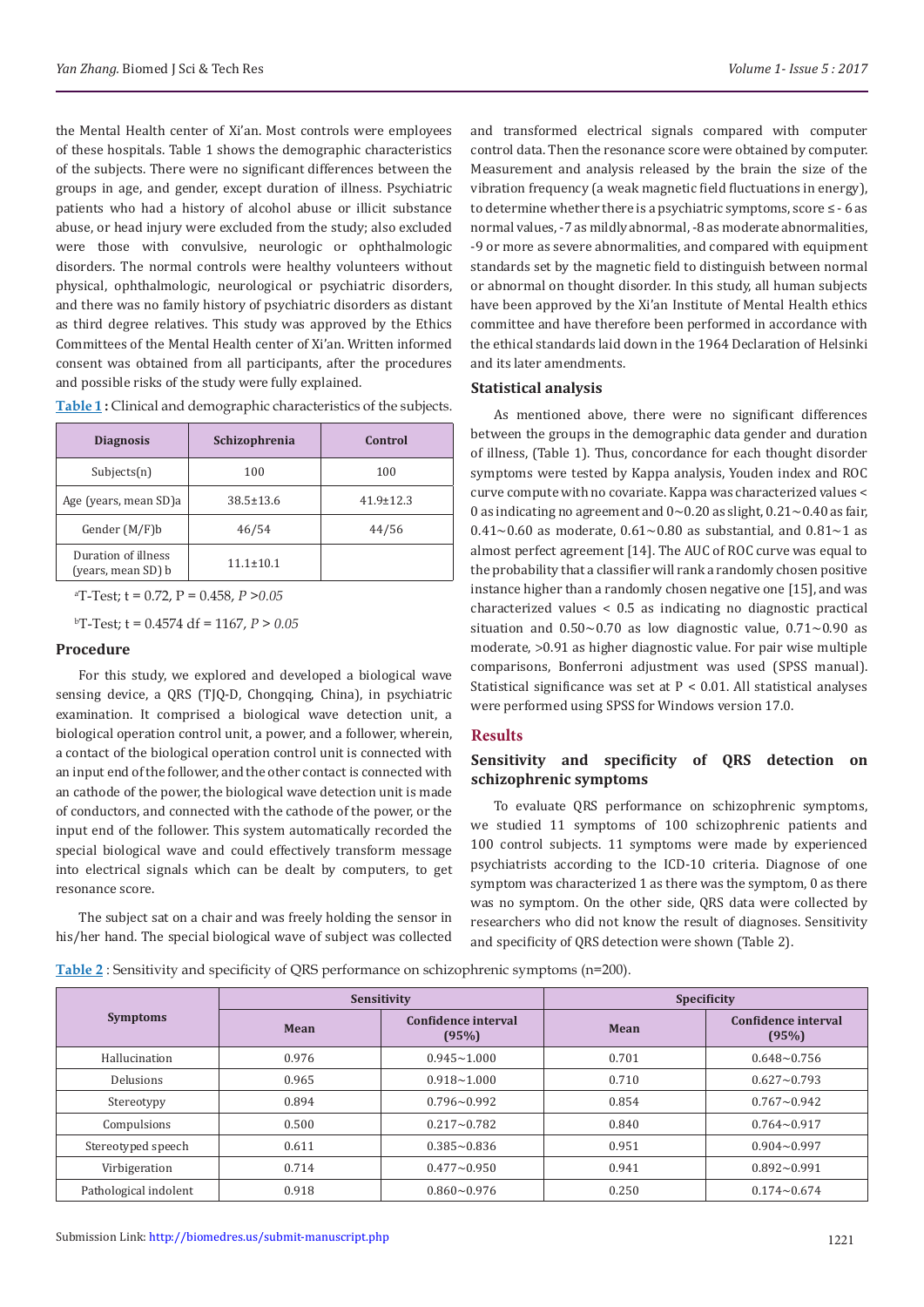the Mental Health center of Xi'an. Most controls were employees of these hospitals. Table 1 shows the demographic characteristics of the subjects. There were no significant differences between the groups in age, and gender, except duration of illness. Psychiatric patients who had a history of alcohol abuse or illicit substance abuse, or head injury were excluded from the study; also excluded were those with convulsive, neurologic or ophthalmologic disorders. The normal controls were healthy volunteers without physical, ophthalmologic, neurological or psychiatric disorders, and there was no family history of psychiatric disorders as distant as third degree relatives. This study was approved by the Ethics Committees of the Mental Health center of Xi'an. Written informed consent was obtained from all participants, after the procedures and possible risks of the study were fully explained.

| <b>Diagnosis</b>                          | Schizophrenia   | Control         |  |
|-------------------------------------------|-----------------|-----------------|--|
| Subjects(n)                               | 100             | 100             |  |
| Age (years, mean SD)a                     | $38.5 \pm 13.6$ | $41.9 \pm 12.3$ |  |
| Gender $(M/F)b$                           | 46/54           | 44/56           |  |
| Duration of illness<br>(years, mean SD) b | $11.1 \pm 10.1$ |                 |  |

**Table 1 :** Clinical and demographic characteristics of the subjects.

a T-Test; t = 0.72, P = 0.458, *P >0.05*

b T-Test; t = 0.4574 df = 1167, *P > 0.05*

#### **Procedure**

For this study, we explored and developed a biological wave sensing device, a QRS (TJQ-D, Chongqing, China), in psychiatric examination. It comprised a biological wave detection unit, a biological operation control unit, a power, and a follower, wherein, a contact of the biological operation control unit is connected with an input end of the follower, and the other contact is connected with an cathode of the power, the biological wave detection unit is made of conductors, and connected with the cathode of the power, or the input end of the follower. This system automatically recorded the special biological wave and could effectively transform message into electrical signals which can be dealt by computers, to get resonance score.

The subject sat on a chair and was freely holding the sensor in his/her hand. The special biological wave of subject was collected and transformed electrical signals compared with computer control data. Then the resonance score were obtained by computer. Measurement and analysis released by the brain the size of the vibration frequency (a weak magnetic field fluctuations in energy), to determine whether there is a psychiatric symptoms, score ≤ - 6 as normal values, -7 as mildly abnormal, -8 as moderate abnormalities, -9 or more as severe abnormalities, and compared with equipment standards set by the magnetic field to distinguish between normal or abnormal on thought disorder. In this study, all human subjects have been approved by the Xi'an Institute of Mental Health ethics committee and have therefore been performed in accordance with the ethical standards laid down in the 1964 Declaration of Helsinki and its later amendments.

## **Statistical analysis**

As mentioned above, there were no significant differences between the groups in the demographic data gender and duration of illness, (Table 1). Thus, concordance for each thought disorder symptoms were tested by Kappa analysis, Youden index and ROC curve compute with no covariate. Kappa was characterized values < 0 as indicating no agreement and  $0 \sim 0.20$  as slight,  $0.21 \sim 0.40$  as fair, 0.41~0.60 as moderate,  $0.61$ ~0.80 as substantial, and  $0.81$ ~1 as almost perfect agreement [14]. The AUC of ROC curve was equal to the probability that a classifier will rank a randomly chosen positive instance higher than a randomly chosen negative one [15], and was characterized values < 0.5 as indicating no diagnostic practical situation and  $0.50~0.70$  as low diagnostic value,  $0.71~0.90$  as moderate, >0.91 as higher diagnostic value. For pair wise multiple comparisons, Bonferroni adjustment was used (SPSS manual). Statistical significance was set at P < 0.01. All statistical analyses were performed using SPSS for Windows version 17.0.

#### **Results**

## **Sensitivity and specificity of QRS detection on schizophrenic symptoms**

To evaluate QRS performance on schizophrenic symptoms, we studied 11 symptoms of 100 schizophrenic patients and 100 control subjects. 11 symptoms were made by experienced psychiatrists according to the ICD-10 criteria. Diagnose of one symptom was characterized 1 as there was the symptom, 0 as there was no symptom. On the other side, QRS data were collected by researchers who did not know the result of diagnoses. Sensitivity and specificity of QRS detection were shown (Table 2).

**Table 2** : Sensitivity and specificity of QRS performance on schizophrenic symptoms (n=200).

| <b>Symptoms</b>       | Sensitivity |                              | <b>Specificity</b> |                              |  |
|-----------------------|-------------|------------------------------|--------------------|------------------------------|--|
|                       | Mean        | Confidence interval<br>(95%) | Mean               | Confidence interval<br>(95%) |  |
| Hallucination         | 0.976       | $0.945 \sim 1.000$           | 0.701              | $0.648 \sim 0.756$           |  |
| Delusions             | 0.965       | $0.918 - 1.000$              | 0.710              | $0.627 - 0.793$              |  |
| Stereotypy            | 0.894       | $0.796 \sim 0.992$           | 0.854              | $0.767 - 0.942$              |  |
| Compulsions           | 0.500       | $0.217 - 0.782$              | 0.840              | $0.764 \sim 0.917$           |  |
| Stereotyped speech    | 0.611       | $0.385 \sim 0.836$           | 0.951              | $0.904 \sim 0.997$           |  |
| Virbigeration         | 0.714       | $0.477 - 0.950$              | 0.941              | $0.892 - 0.991$              |  |
| Pathological indolent | 0.918       | $0.860 - 0.976$              | 0.250              | $0.174 - 0.674$              |  |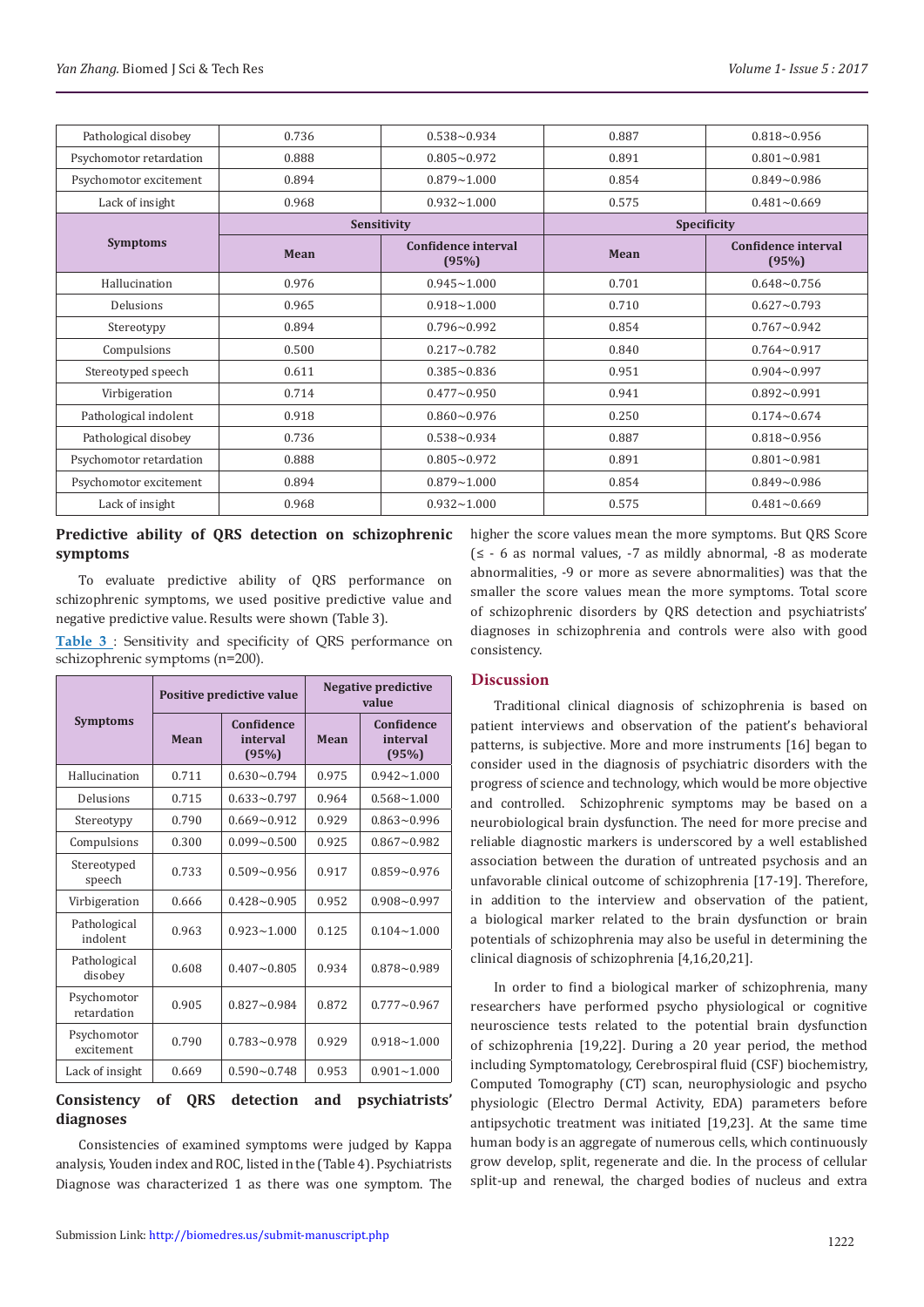| Pathological disobey    | 0.736       | $0.538 - 0.934$              | 0.887       | $0.818 - 0.956$              |  |
|-------------------------|-------------|------------------------------|-------------|------------------------------|--|
| Psychomotor retardation | 0.888       | $0.805 - 0.972$              | 0.891       | $0.801 - 0.981$              |  |
| Psychomotor excitement  | 0.894       | $0.879 - 1.000$              | 0.854       | $0.849 - 0.986$              |  |
| Lack of insight         | 0.968       | $0.932 - 1.000$              | 0.575       | $0.481 - 0.669$              |  |
| <b>Symptoms</b>         | Sensitivity |                              | Specificity |                              |  |
|                         | Mean        | Confidence interval<br>(95%) | Mean        | Confidence interval<br>(95%) |  |
| Hallucination           | 0.976       | $0.945 - 1.000$              | 0.701       | $0.648 - 0.756$              |  |
| Delusions               | 0.965       | $0.918 - 1.000$              | 0.710       | $0.627 - 0.793$              |  |
| Stereotypy              | 0.894       | $0.796 - 0.992$              | 0.854       | $0.767 - 0.942$              |  |
| Compulsions             | 0.500       | $0.217 - 0.782$              | 0.840       | $0.764 - 0.917$              |  |
| Stereotyped speech      | 0.611       | $0.385 - 0.836$              | 0.951       | $0.904 - 0.997$              |  |
| Virbigeration           | 0.714       | $0.477 - 0.950$              | 0.941       | $0.892 - 0.991$              |  |
| Pathological indolent   | 0.918       | $0.860 - 0.976$              | 0.250       | $0.174 - 0.674$              |  |
| Pathological disobey    | 0.736       | $0.538 - 0.934$              | 0.887       | $0.818 - 0.956$              |  |
| Psychomotor retardation | 0.888       | $0.805 - 0.972$              | 0.891       | $0.801 - 0.981$              |  |
| Psychomotor excitement  | 0.894       | $0.879 - 1.000$              | 0.854       | $0.849 - 0.986$              |  |
| Lack of insight         | 0.968       | $0.932 - 1.000$              | 0.575       | $0.481 - 0.669$              |  |

## **Predictive ability of QRS detection on schizophrenic symptoms**

To evaluate predictive ability of QRS performance on schizophrenic symptoms, we used positive predictive value and negative predictive value. Results were shown (Table 3).

**Table 3** : Sensitivity and specificity of QRS performance on schizophrenic symptoms (n=200).

|                            |       | Positive predictive value       | <b>Negative predictive</b><br>value |                                 |  |
|----------------------------|-------|---------------------------------|-------------------------------------|---------------------------------|--|
| <b>Symptoms</b>            | Mean  | Confidence<br>interval<br>(95%) | Mean                                | Confidence<br>interval<br>(95%) |  |
| Hallucination              | 0.711 | $0.630 - 0.794$                 | 0.975                               | $0.942 - 1.000$                 |  |
| Delusions                  | 0.715 | $0.633 - 0.797$                 | 0.964                               | $0.568 - 1.000$                 |  |
| Stereotypy                 | 0.790 | $0.669 - 0.912$                 | 0.929                               | $0.863 - 0.996$                 |  |
| Compulsions                | 0.300 | $0.099 - 0.500$                 | 0.925                               | $0.867 - 0.982$                 |  |
| Stereotyped<br>speech      | 0.733 | $0.509 - 0.956$                 | 0.917                               | $0.859 - 0.976$                 |  |
| Virbigeration              | 0.666 | $0.428 - 0.905$                 | 0.952                               | $0.908 - 0.997$                 |  |
| Pathological<br>indolent   | 0.963 | $0.923 - 1.000$                 | 0.125                               | $0.104 - 1.000$                 |  |
| Pathological<br>disobey    | 0.608 | $0.407 - 0.805$                 | 0.934                               | $0.878 - 0.989$                 |  |
| Psychomotor<br>retardation | 0.905 | $0.827 - 0.984$                 | 0.872                               | $0.777 - 0.967$                 |  |
| Psychomotor<br>excitement  | 0.790 | $0.783 - 0.978$                 | 0.929                               | $0.918 - 1.000$                 |  |
| Lack of insight            | 0.669 | $0.590 - 0.748$                 | 0.953                               | $0.901 - 1.000$                 |  |

## **Consistency of QRS detection and psychiatrists' diagnoses**

Consistencies of examined symptoms were judged by Kappa analysis, Youden index and ROC, listed in the (Table 4). Psychiatrists Diagnose was characterized 1 as there was one symptom. The higher the score values mean the more symptoms. But QRS Score (≤ - 6 as normal values, -7 as mildly abnormal, -8 as moderate abnormalities, -9 or more as severe abnormalities) was that the smaller the score values mean the more symptoms. Total score of schizophrenic disorders by QRS detection and psychiatrists' diagnoses in schizophrenia and controls were also with good consistency.

## **Discussion**

Traditional clinical diagnosis of schizophrenia is based on patient interviews and observation of the patient's behavioral patterns, is subjective. More and more instruments [16] began to consider used in the diagnosis of psychiatric disorders with the progress of science and technology, which would be more objective and controlled. Schizophrenic symptoms may be based on a neurobiological brain dysfunction. The need for more precise and reliable diagnostic markers is underscored by a well established association between the duration of untreated psychosis and an unfavorable clinical outcome of schizophrenia [17-19]. Therefore, in addition to the interview and observation of the patient, a biological marker related to the brain dysfunction or brain potentials of schizophrenia may also be useful in determining the clinical diagnosis of schizophrenia [4,16,20,21].

In order to find a biological marker of schizophrenia, many researchers have performed psycho physiological or cognitive neuroscience tests related to the potential brain dysfunction of schizophrenia [19,22]. During a 20 year period, the method including Symptomatology, Cerebrospiral fluid (CSF) biochemistry, Computed Tomography (CT) scan, neurophysiologic and psycho physiologic (Electro Dermal Activity, EDA) parameters before antipsychotic treatment was initiated [19,23]. At the same time human body is an aggregate of numerous cells, which continuously grow develop, split, regenerate and die. In the process of cellular split-up and renewal, the charged bodies of nucleus and extra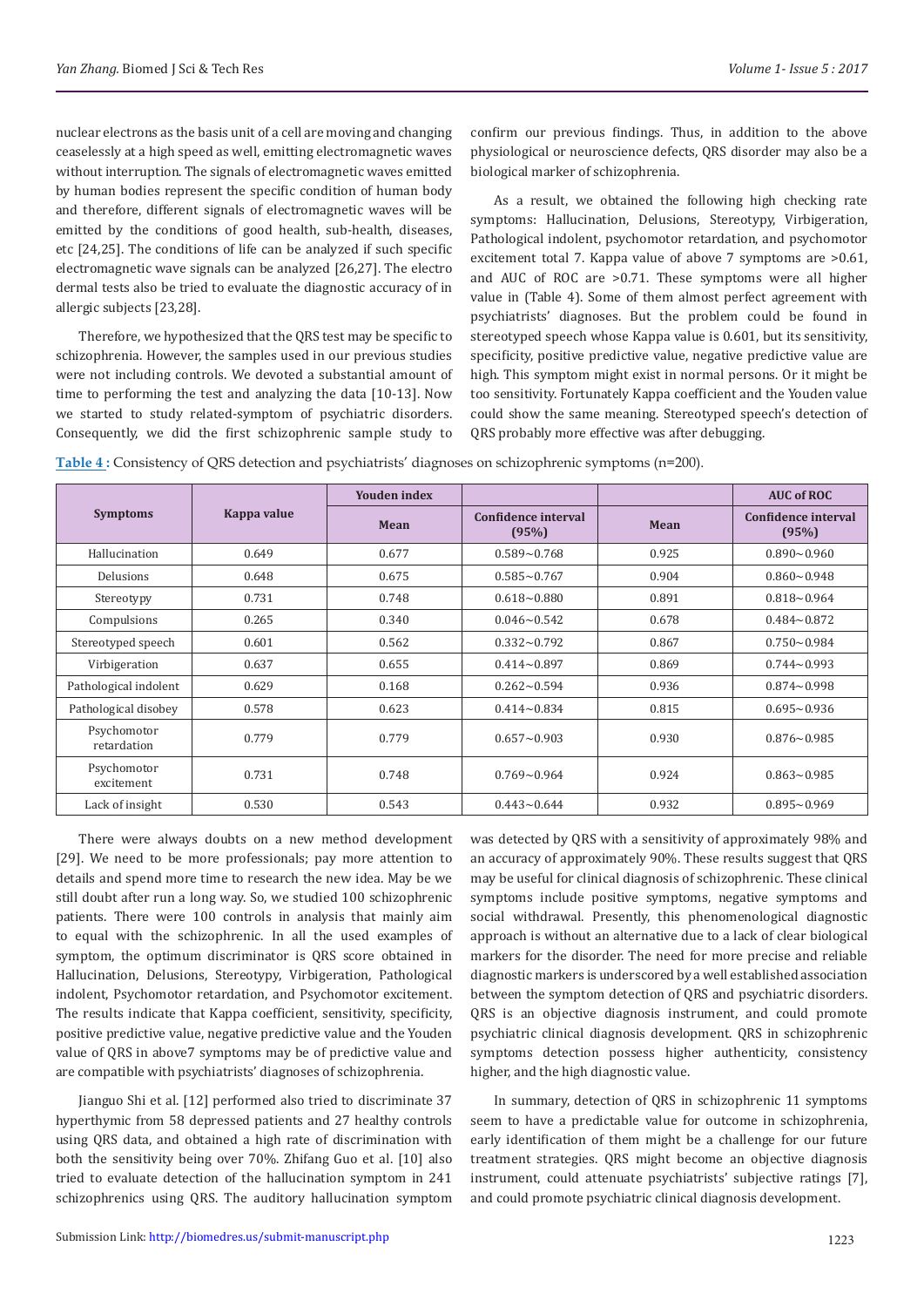nuclear electrons as the basis unit of a cell are moving and changing ceaselessly at a high speed as well, emitting electromagnetic waves without interruption. The signals of electromagnetic waves emitted by human bodies represent the specific condition of human body and therefore, different signals of electromagnetic waves will be emitted by the conditions of good health, sub-health, diseases, etc [24,25]. The conditions of life can be analyzed if such specific electromagnetic wave signals can be analyzed [26,27]. The electro dermal tests also be tried to evaluate the diagnostic accuracy of in allergic subjects [23,28].

Therefore, we hypothesized that the QRS test may be specific to schizophrenia. However, the samples used in our previous studies were not including controls. We devoted a substantial amount of time to performing the test and analyzing the data [10-13]. Now we started to study related-symptom of psychiatric disorders. Consequently, we did the first schizophrenic sample study to

confirm our previous findings. Thus, in addition to the above physiological or neuroscience defects, QRS disorder may also be a biological marker of schizophrenia.

As a result, we obtained the following high checking rate symptoms: Hallucination, Delusions, Stereotypy, Virbigeration, Pathological indolent, psychomotor retardation, and psychomotor excitement total 7. Kappa value of above 7 symptoms are >0.61, and AUC of ROC are >0.71. These symptoms were all higher value in (Table 4). Some of them almost perfect agreement with psychiatrists' diagnoses. But the problem could be found in stereotyped speech whose Kappa value is 0.601, but its sensitivity, specificity, positive predictive value, negative predictive value are high. This symptom might exist in normal persons. Or it might be too sensitivity. Fortunately Kappa coefficient and the Youden value could show the same meaning. Stereotyped speech's detection of QRS probably more effective was after debugging.

| <b>Symptoms</b>            | Kappa value | <b>Youden</b> index |                              |       | <b>AUC of ROC</b>            |
|----------------------------|-------------|---------------------|------------------------------|-------|------------------------------|
|                            |             | Mean                | Confidence interval<br>(95%) | Mean  | Confidence interval<br>(95%) |
| Hallucination              | 0.649       | 0.677               | $0.589 - 0.768$              | 0.925 | $0.890 - 0.960$              |
| Delusions                  | 0.648       | 0.675               | $0.585 - 0.767$              | 0.904 | $0.860 - 0.948$              |
| Stereotypy                 | 0.731       | 0.748               | $0.618 - 0.880$              | 0.891 | $0.818 - 0.964$              |
| Compulsions                | 0.265       | 0.340               | $0.046 - 0.542$              | 0.678 | $0.484 - 0.872$              |
| Stereotyped speech         | 0.601       | 0.562               | $0.332 - 0.792$              | 0.867 | $0.750 - 0.984$              |
| Virbigeration              | 0.637       | 0.655               | $0.414 - 0.897$              | 0.869 | $0.744 \sim 0.993$           |
| Pathological indolent      | 0.629       | 0.168               | $0.262 - 0.594$              | 0.936 | $0.874 - 0.998$              |
| Pathological disobey       | 0.578       | 0.623               | $0.414 - 0.834$              | 0.815 | $0.695 - 0.936$              |
| Psychomotor<br>retardation | 0.779       | 0.779               | $0.657 - 0.903$              | 0.930 | $0.876 - 0.985$              |
| Psychomotor<br>excitement  | 0.731       | 0.748               | $0.769 - 0.964$              | 0.924 | $0.863 - 0.985$              |
| Lack of insight            | 0.530       | 0.543               | $0.443 - 0.644$              | 0.932 | $0.895 - 0.969$              |

**Table 4 :** Consistency of QRS detection and psychiatrists' diagnoses on schizophrenic symptoms (n=200).

There were always doubts on a new method development [29]. We need to be more professionals; pay more attention to details and spend more time to research the new idea. May be we still doubt after run a long way. So, we studied 100 schizophrenic patients. There were 100 controls in analysis that mainly aim to equal with the schizophrenic. In all the used examples of symptom, the optimum discriminator is QRS score obtained in Hallucination, Delusions, Stereotypy, Virbigeration, Pathological indolent, Psychomotor retardation, and Psychomotor excitement. The results indicate that Kappa coefficient, sensitivity, specificity, positive predictive value, negative predictive value and the Youden value of QRS in above7 symptoms may be of predictive value and are compatible with psychiatrists' diagnoses of schizophrenia.

Jianguo Shi et al. [12] performed also tried to discriminate 37 hyperthymic from 58 depressed patients and 27 healthy controls using QRS data, and obtained a high rate of discrimination with both the sensitivity being over 70%. Zhifang Guo et al. [10] also tried to evaluate detection of the hallucination symptom in 241 schizophrenics using QRS. The auditory hallucination symptom

was detected by QRS with a sensitivity of approximately 98% and an accuracy of approximately 90%. These results suggest that QRS may be useful for clinical diagnosis of schizophrenic. These clinical symptoms include positive symptoms, negative symptoms and social withdrawal. Presently, this phenomenological diagnostic approach is without an alternative due to a lack of clear biological markers for the disorder. The need for more precise and reliable diagnostic markers is underscored by a well established association between the symptom detection of QRS and psychiatric disorders. QRS is an objective diagnosis instrument, and could promote psychiatric clinical diagnosis development. QRS in schizophrenic symptoms detection possess higher authenticity, consistency higher, and the high diagnostic value.

In summary, detection of QRS in schizophrenic 11 symptoms seem to have a predictable value for outcome in schizophrenia, early identification of them might be a challenge for our future treatment strategies. QRS might become an objective diagnosis instrument, could attenuate psychiatrists' subjective ratings [7], and could promote psychiatric clinical diagnosis development.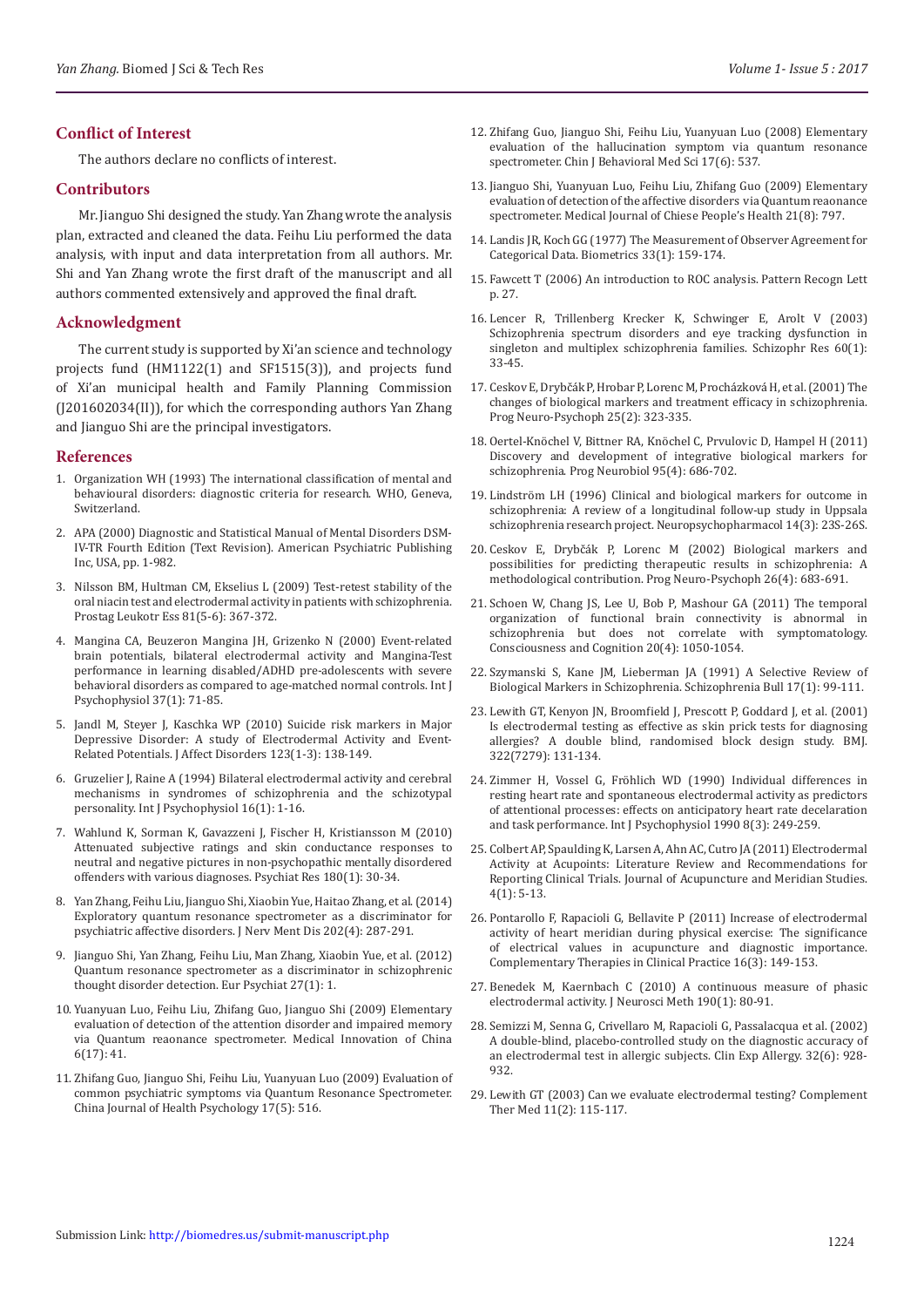#### **Conflict of Interest**

The authors declare no conflicts of interest.

#### **Contributors**

Mr. Jianguo Shi designed the study. Yan Zhang wrote the analysis plan, extracted and cleaned the data. Feihu Liu performed the data analysis, with input and data interpretation from all authors. Mr. Shi and Yan Zhang wrote the first draft of the manuscript and all authors commented extensively and approved the final draft.

#### **Acknowledgment**

The current study is supported by Xi'an science and technology projects fund (HM1122(1) and SF1515(3)), and projects fund of Xi'an municipal health and Family Planning Commission (J201602034(II)), for which the corresponding authors Yan Zhang and Jianguo Shi are the principal investigators.

#### **References**

- 1. Organization WH (1993) The international classification of mental and behavioural disorders: diagnostic criteria for research. WHO, Geneva, Switzerland.
- 2. [APA \(2000\) Diagnostic and Statistical Manual of Mental Disorders DSM-](http://dsm.psychiatryonline.org/doi/pdf/10.1176/appi.books.9780890420249.dsm-iv-tr)[IV-TR Fourth Edition \(Text Revision\). American Psychiatric Publishing](http://dsm.psychiatryonline.org/doi/pdf/10.1176/appi.books.9780890420249.dsm-iv-tr)  [Inc, USA, pp. 1-982.](http://dsm.psychiatryonline.org/doi/pdf/10.1176/appi.books.9780890420249.dsm-iv-tr)
- 3. [Nilsson BM, Hultman CM, Ekselius L \(2009\) Test-retest stability of the](https://www.ncbi.nlm.nih.gov/pubmed/19864122)  [oral niacin test and electrodermal activity in patients with schizophrenia.](https://www.ncbi.nlm.nih.gov/pubmed/19864122)  [Prostag Leukotr Ess 81\(5-6\): 367-372.](https://www.ncbi.nlm.nih.gov/pubmed/19864122)
- 4. [Mangina CA, Beuzeron Mangina JH, Grizenko N \(2000\) Event-related](https://www.ncbi.nlm.nih.gov/pubmed/10828376)  [brain potentials, bilateral electrodermal activity and Mangina-Test](https://www.ncbi.nlm.nih.gov/pubmed/10828376)  [performance in learning disabled/ADHD pre-adolescents with severe](https://www.ncbi.nlm.nih.gov/pubmed/10828376)  [behavioral disorders as compared to age-matched normal controls. Int J](https://www.ncbi.nlm.nih.gov/pubmed/10828376)  [Psychophysiol 37\(1\): 71-85.](https://www.ncbi.nlm.nih.gov/pubmed/10828376)
- 5. [Jandl M, Steyer J, Kaschka WP \(2010\) Suicide risk markers in Major](https://www.ncbi.nlm.nih.gov/pubmed/19819558)  [Depressive Disorder: A study of Electrodermal Activity and Event-](https://www.ncbi.nlm.nih.gov/pubmed/19819558)Related Potentials. [J Affect Disorders 123\(1-3\): 138-149.](https://www.ncbi.nlm.nih.gov/pubmed/19819558)
- 6. [Gruzelier J, Raine A \(1994\) Bilateral electrodermal activity and cerebral](https://www.ncbi.nlm.nih.gov/pubmed/8206800)  [mechanisms in syndromes of schizophrenia and the schizotypal](https://www.ncbi.nlm.nih.gov/pubmed/8206800)  [personality. Int J Psychophysiol 16\(1\): 1-16.](https://www.ncbi.nlm.nih.gov/pubmed/8206800)
- 7. [Wahlund K, Sorman K, Gavazzeni J, Fischer H, Kristiansson M \(2010\)](https://www.ncbi.nlm.nih.gov/pubmed/20493542)  [Attenuated subjective ratings and skin conductance responses to](https://www.ncbi.nlm.nih.gov/pubmed/20493542)  [neutral and negative pictures in non-psychopathic mentally disordered](https://www.ncbi.nlm.nih.gov/pubmed/20493542)  [offenders with various diagnoses. Psychiat Res 180\(1\): 30-34.](https://www.ncbi.nlm.nih.gov/pubmed/20493542)
- 8. [Yan Zhang, Feihu Liu, Jianguo Shi, Xiaobin Yue, Haitao Zhang, et al. \(2014\)](https://www.ncbi.nlm.nih.gov/pubmed/24647211)  [Exploratory quantum resonance spectrometer as a discriminator for](https://www.ncbi.nlm.nih.gov/pubmed/24647211)  [psychiatric affective disorders. J Nerv Ment Dis 202\(4\): 287-291.](https://www.ncbi.nlm.nih.gov/pubmed/24647211)
- 9. Jianguo Shi, Yan Zhang, Feihu Liu, Man Zhang, Xiaobin Yue, et al. (2012) Quantum resonance spectrometer as a discriminator in schizophrenic thought disorder detection. Eur Psychiat 27(1): 1.
- 10. Yuanyuan Luo, Feihu Liu, Zhifang Guo, Jianguo Shi (2009) Elementary evaluation of detection of the attention disorder and impaired memory via Quantum reaonance spectrometer. Medical Innovation of China 6(17): 41.
- 11. Zhifang Guo, Jianguo Shi, Feihu Liu, Yuanyuan Luo (2009) Evaluation of common psychiatric symptoms via Quantum Resonance Spectrometer. China Journal of Health Psychology 17(5): 516.
- 12. Zhifang Guo, Jianguo Shi, Feihu Liu, Yuanyuan Luo (2008) Elementary evaluation of the hallucination symptom via quantum resonance spectrometer. Chin J Behavioral Med Sci 17(6): 537.
- 13. Jianguo Shi, Yuanyuan Luo, Feihu Liu, Zhifang Guo (2009) Elementary evaluation of detection of the affective disorders via Quantum reaonance spectrometer. Medical Journal of Chiese People's Health 21(8): 797.
- 14. [Landis JR, Koch GG \(1977\) The Measurement of Observer Agreement for](https://www.ncbi.nlm.nih.gov/pubmed/843571) [Categorical Data. Biometrics 33\(1\): 159-174.](https://www.ncbi.nlm.nih.gov/pubmed/843571)
- 15. [Fawcett T \(2006\) An introduction to ROC analysis.](https://www.researchgate.net/publication/222511520_Introduction_to_ROC_analysis) Pattern Recogn Lett [p. 27.](https://www.researchgate.net/publication/222511520_Introduction_to_ROC_analysis)
- 16. [Lencer R, Trillenberg Krecker K, Schwinger E, Arolt V \(2003\)](https://www.ncbi.nlm.nih.gov/pubmed/12505136) [Schizophrenia spectrum disorders and eye tracking dysfunction in](https://www.ncbi.nlm.nih.gov/pubmed/12505136) [singleton and multiplex schizophrenia families. Schizophr Res 60\(1\):](https://www.ncbi.nlm.nih.gov/pubmed/12505136) [33-45.](https://www.ncbi.nlm.nih.gov/pubmed/12505136)
- 17. [Ceskov E, Drybčák P, Hrobar P, Lorenc M, Procházková H, et al. \(2001\) The](https://www.ncbi.nlm.nih.gov/pubmed/11294479) [changes of biological markers and treatment efficacy in schizophrenia.](https://www.ncbi.nlm.nih.gov/pubmed/11294479) [Prog Neuro-Psychoph 25\(2\): 323-335.](https://www.ncbi.nlm.nih.gov/pubmed/11294479)
- 18. [Oertel-Knöchel V, Bittner RA, Knöchel C, Prvulovic D, Hampel H \(2011\)](https://www.ncbi.nlm.nih.gov/pubmed/21664943) [Discovery and development of integrative biological markers for](https://www.ncbi.nlm.nih.gov/pubmed/21664943) schizophrenia. [Prog Neurobiol 95\(4\): 686-702.](https://www.ncbi.nlm.nih.gov/pubmed/21664943)
- 19. [Lindström LH \(1996\) Clinical and biological markers for outcome in](https://www.ncbi.nlm.nih.gov/pubmed/8866740) [schizophrenia: A review of a longitudinal follow-up study in Uppsala](https://www.ncbi.nlm.nih.gov/pubmed/8866740) [schizophrenia research project. Neuropsychopharmacol 14\(3\): 23S-26S.](https://www.ncbi.nlm.nih.gov/pubmed/8866740)
- 20. [Ceskov E, Drybčák P, Lorenc M \(2002\) Biological markers and](https://www.ncbi.nlm.nih.gov/pubmed/12188100) [possibilities for predicting therapeutic results in schizophrenia: A](https://www.ncbi.nlm.nih.gov/pubmed/12188100) [methodological contribution. Prog Neuro-Psychoph 26\(4\): 683-691.](https://www.ncbi.nlm.nih.gov/pubmed/12188100)
- 21. [Schoen W, Chang JS, Lee U, Bob P, Mashour GA \(2011\) The temporal](https://www.ncbi.nlm.nih.gov/pubmed/20541442) [organization of functional brain connectivity is abnormal in](https://www.ncbi.nlm.nih.gov/pubmed/20541442) [schizophrenia but does not correlate with symptomatology.](https://www.ncbi.nlm.nih.gov/pubmed/20541442) [Consciousness and Cognition 20\(4\): 1050-1054.](https://www.ncbi.nlm.nih.gov/pubmed/20541442)
- 22. [Szymanski S, Kane JM, Lieberman JA \(1991\) A Selective Review of](https://www.ncbi.nlm.nih.gov/pubmed/1675484) [Biological Markers in Schizophrenia. Schizophrenia Bull 17\(1\): 99-111.](https://www.ncbi.nlm.nih.gov/pubmed/1675484)
- 23. [Lewith GT, Kenyon JN, Broomfield J, Prescott P, Goddard J, et al. \(2001\)](https://www.ncbi.nlm.nih.gov/pubmed/11159567) [Is electrodermal testing as effective as skin prick tests for diagnosing](https://www.ncbi.nlm.nih.gov/pubmed/11159567) [allergies? A double blind, randomised block design study. BMJ.](https://www.ncbi.nlm.nih.gov/pubmed/11159567) [322\(7279\): 131-134.](https://www.ncbi.nlm.nih.gov/pubmed/11159567)
- 24. [Zimmer H, Vossel G, Fröhlich WD \(1990\) Individual differences in](https://www.ncbi.nlm.nih.gov/pubmed/2338405) [resting heart rate and spontaneous electrodermal activity as predictors](https://www.ncbi.nlm.nih.gov/pubmed/2338405) [of attentional processes: effects on anticipatory heart rate decelaration](https://www.ncbi.nlm.nih.gov/pubmed/2338405) [and task performance. Int J Psychophysiol 1990 8\(3\): 249-259.](https://www.ncbi.nlm.nih.gov/pubmed/2338405)
- 25. [Colbert AP, Spaulding K, Larsen A, Ahn AC, Cutro JA \(2011\) Electrodermal](https://www.ncbi.nlm.nih.gov/pubmed/21440875) [Activity at Acupoints: Literature Review and Recommendations for](https://www.ncbi.nlm.nih.gov/pubmed/21440875) [Reporting Clinical Trials. Journal of Acupuncture and Meridian Studies.](https://www.ncbi.nlm.nih.gov/pubmed/21440875) [4\(1\): 5-13.](https://www.ncbi.nlm.nih.gov/pubmed/21440875)
- 26. [Pontarollo F, Rapacioli G, Bellavite P \(2011\) Increase of electrodermal](https://www.ncbi.nlm.nih.gov/pubmed/20621275) [activity of heart meridian during physical exercise: The significance](https://www.ncbi.nlm.nih.gov/pubmed/20621275) [of electrical values in acupuncture and diagnostic importance.](https://www.ncbi.nlm.nih.gov/pubmed/20621275) [Complementary Therapies in Clinical Practice 16\(3\): 149-153.](https://www.ncbi.nlm.nih.gov/pubmed/20621275)
- 27. [Benedek M, Kaernbach C \(2010\) A continuous measure of phasic](https://www.ncbi.nlm.nih.gov/pubmed/20451556) [electrodermal activity. J Neurosci Meth 190\(1\): 80-91.](https://www.ncbi.nlm.nih.gov/pubmed/20451556)
- 28. [Semizzi M, Senna G, Crivellaro M, Rapacioli G, Passalacqua et al. \(2002\)](https://www.ncbi.nlm.nih.gov/pubmed/12047441) A [double-blind, placebo-controlled study on the diagnostic accuracy of](https://www.ncbi.nlm.nih.gov/pubmed/12047441) [an electrodermal test in allergic subjects. Clin Exp Allergy. 32\(6\): 928-](https://www.ncbi.nlm.nih.gov/pubmed/12047441) [932.](https://www.ncbi.nlm.nih.gov/pubmed/12047441)
- 29. [Lewith GT \(2003\) Can we evaluate electrodermal testing? Complement](https://www.ncbi.nlm.nih.gov/pubmed/12801498) [Ther Med 11\(2\): 115-117.](https://www.ncbi.nlm.nih.gov/pubmed/12801498)